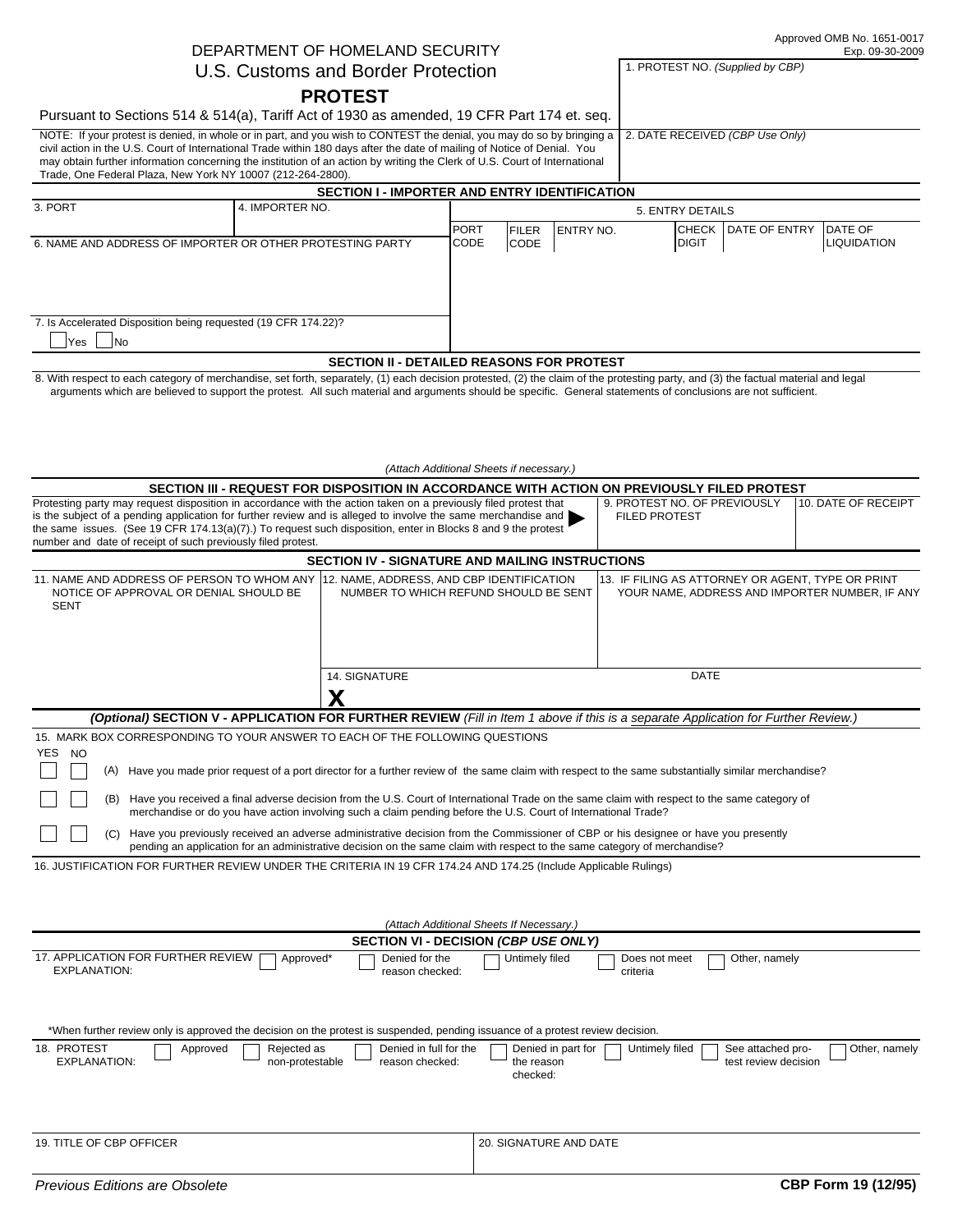Approved OMB No. 1651-0017

1. PROTEST NO. *(Supplied by CBP)*

# DEPARTMENT OF HOMELAND SECURITY

## U.S. Customs and Border Protection

**PROTEST**

Pursuant to Sections 514 & 514(a), Tariff Act of 1930 as amended, 19 CFR Part 174 et. seq.

2. DATE RECEIVED *(CBP Use Only)* NOTE: If your protest is denied, in whole or in part, and you wish to CONTEST the denial, you may do so by bringing a civil action in the U.S. Court of International Trade within 180 days after the date of mailing of Notice of Denial. You

may obtain further information concerning the institution of an action by writing the Clerk of U.S. Court of International Trade, One Federal Plaza, New York NY 10007 (212-264-2800).

| <b>SECTION I - IMPORTER AND ENTRY IDENTIFICATION</b>           |                 |                              |                              |                   |                                |                       |                                       |  |  |  |
|----------------------------------------------------------------|-----------------|------------------------------|------------------------------|-------------------|--------------------------------|-----------------------|---------------------------------------|--|--|--|
| 3. PORT                                                        | 4. IMPORTER NO. | 5. ENTRY DETAILS             |                              |                   |                                |                       |                                       |  |  |  |
| 6. NAME AND ADDRESS OF IMPORTER OR OTHER PROTESTING PARTY      |                 | <b>IPORT</b><br><b>ICODE</b> | <b>IFILER</b><br><b>CODE</b> | <b>IENTRY NO.</b> | <b>ICHECK</b><br><b>IDIGIT</b> | <b>LDATE OF ENTRY</b> | <b>IDATE OF</b><br><b>LIQUIDATION</b> |  |  |  |
| 7. Is Accelerated Disposition being requested (19 CFR 174.22)? |                 |                              |                              |                   |                                |                       |                                       |  |  |  |
| <b>Yes</b><br><b>INo</b>                                       |                 |                              |                              |                   |                                |                       |                                       |  |  |  |
| <b>SECTION II - DETAILED REASONS FOR PROTEST</b>               |                 |                              |                              |                   |                                |                       |                                       |  |  |  |

8. With respect to each category of merchandise, set forth, separately, (1) each decision protested, (2) the claim of the protesting party, and (3) the factual material and legal arguments which are believed to support the protest. All such material and arguments should be specific. General statements of conclusions are not sufficient.

|                                                                                                                                                                                                                                                                                                                                                                                                                                                                                                                                                                                                                                                                                                                                                                                                                        |                                                        | (Attach Additional Sheets if necessary.)             |                                                                                                     |                     |  |
|------------------------------------------------------------------------------------------------------------------------------------------------------------------------------------------------------------------------------------------------------------------------------------------------------------------------------------------------------------------------------------------------------------------------------------------------------------------------------------------------------------------------------------------------------------------------------------------------------------------------------------------------------------------------------------------------------------------------------------------------------------------------------------------------------------------------|--------------------------------------------------------|------------------------------------------------------|-----------------------------------------------------------------------------------------------------|---------------------|--|
|                                                                                                                                                                                                                                                                                                                                                                                                                                                                                                                                                                                                                                                                                                                                                                                                                        |                                                        |                                                      | SECTION III - REQUEST FOR DISPOSITION IN ACCORDANCE WITH ACTION ON PREVIOUSLY FILED PROTEST         |                     |  |
| Protesting party may request disposition in accordance with the action taken on a previously filed protest that<br>is the subject of a pending application for further review and is alleged to involve the same merchandise and<br>the same issues. (See 19 CFR 174.13(a)(7).) To request such disposition, enter in Blocks 8 and 9 the protest<br>number and date of receipt of such previously filed protest.                                                                                                                                                                                                                                                                                                                                                                                                       |                                                        | 9. PROTEST NO. OF PREVIOUSLY<br><b>FILED PROTEST</b> | 10. DATE OF RECEIPT                                                                                 |                     |  |
|                                                                                                                                                                                                                                                                                                                                                                                                                                                                                                                                                                                                                                                                                                                                                                                                                        | <b>SECTION IV - SIGNATURE AND MAILING INSTRUCTIONS</b> |                                                      |                                                                                                     |                     |  |
| 11. NAME AND ADDRESS OF PERSON TO WHOM ANY 12. NAME, ADDRESS, AND CBP IDENTIFICATION<br>NOTICE OF APPROVAL OR DENIAL SHOULD BE<br><b>SENT</b>                                                                                                                                                                                                                                                                                                                                                                                                                                                                                                                                                                                                                                                                          | NUMBER TO WHICH REFUND SHOULD BE SENT                  |                                                      | 13. IF FILING AS ATTORNEY OR AGENT, TYPE OR PRINT<br>YOUR NAME, ADDRESS AND IMPORTER NUMBER, IF ANY |                     |  |
|                                                                                                                                                                                                                                                                                                                                                                                                                                                                                                                                                                                                                                                                                                                                                                                                                        | 14. SIGNATURE<br>X                                     |                                                      | <b>DATE</b>                                                                                         |                     |  |
| (Optional) SECTION V - APPLICATION FOR FURTHER REVIEW (Fill in Item 1 above if this is a separate Application for Further Review.)                                                                                                                                                                                                                                                                                                                                                                                                                                                                                                                                                                                                                                                                                     |                                                        |                                                      |                                                                                                     |                     |  |
| (A) Have you made prior request of a port director for a further review of the same claim with respect to the same substantially similar merchandise?<br>(B) Have you received a final adverse decision from the U.S. Court of International Trade on the same claim with respect to the same category of<br>merchandise or do you have action involving such a claim pending before the U.S. Court of International Trade?<br>(C) Have you previously received an adverse administrative decision from the Commissioner of CBP or his designee or have you presently<br>pending an application for an administrative decision on the same claim with respect to the same category of merchandise?<br>16. JUSTIFICATION FOR FURTHER REVIEW UNDER THE CRITERIA IN 19 CFR 174.24 AND 174.25 (Include Applicable Rulings) |                                                        | (Attach Additional Sheets If Necessary.)             |                                                                                                     |                     |  |
|                                                                                                                                                                                                                                                                                                                                                                                                                                                                                                                                                                                                                                                                                                                                                                                                                        |                                                        | SECTION VI - DECISION (CBP USE ONLY)                 |                                                                                                     |                     |  |
| 17. APPLICATION FOR FURTHER REVIEW<br>Approved*<br><b>EXPLANATION:</b>                                                                                                                                                                                                                                                                                                                                                                                                                                                                                                                                                                                                                                                                                                                                                 | Denied for the<br>reason checked:                      | Untimely filed                                       | Other, namely<br>Does not meet<br>criteria                                                          |                     |  |
| *When further review only is approved the decision on the protest is suspended, pending issuance of a protest review decision.                                                                                                                                                                                                                                                                                                                                                                                                                                                                                                                                                                                                                                                                                         |                                                        |                                                      |                                                                                                     |                     |  |
| 18. PROTEST<br>Rejected as<br>Approved<br><b>EXPLANATION:</b><br>non-protestable                                                                                                                                                                                                                                                                                                                                                                                                                                                                                                                                                                                                                                                                                                                                       | Denied in full for the<br>reason checked:              | Denied in part for<br>the reason<br>checked:         | Untimely filed<br>See attached pro-<br>test review decision                                         | Other, namely       |  |
| 19. TITLE OF CBP OFFICER                                                                                                                                                                                                                                                                                                                                                                                                                                                                                                                                                                                                                                                                                                                                                                                               |                                                        | 20. SIGNATURE AND DATE                               |                                                                                                     |                     |  |
| Previous Editions are Obsolete                                                                                                                                                                                                                                                                                                                                                                                                                                                                                                                                                                                                                                                                                                                                                                                         |                                                        |                                                      |                                                                                                     | CBP Form 19 (12/95) |  |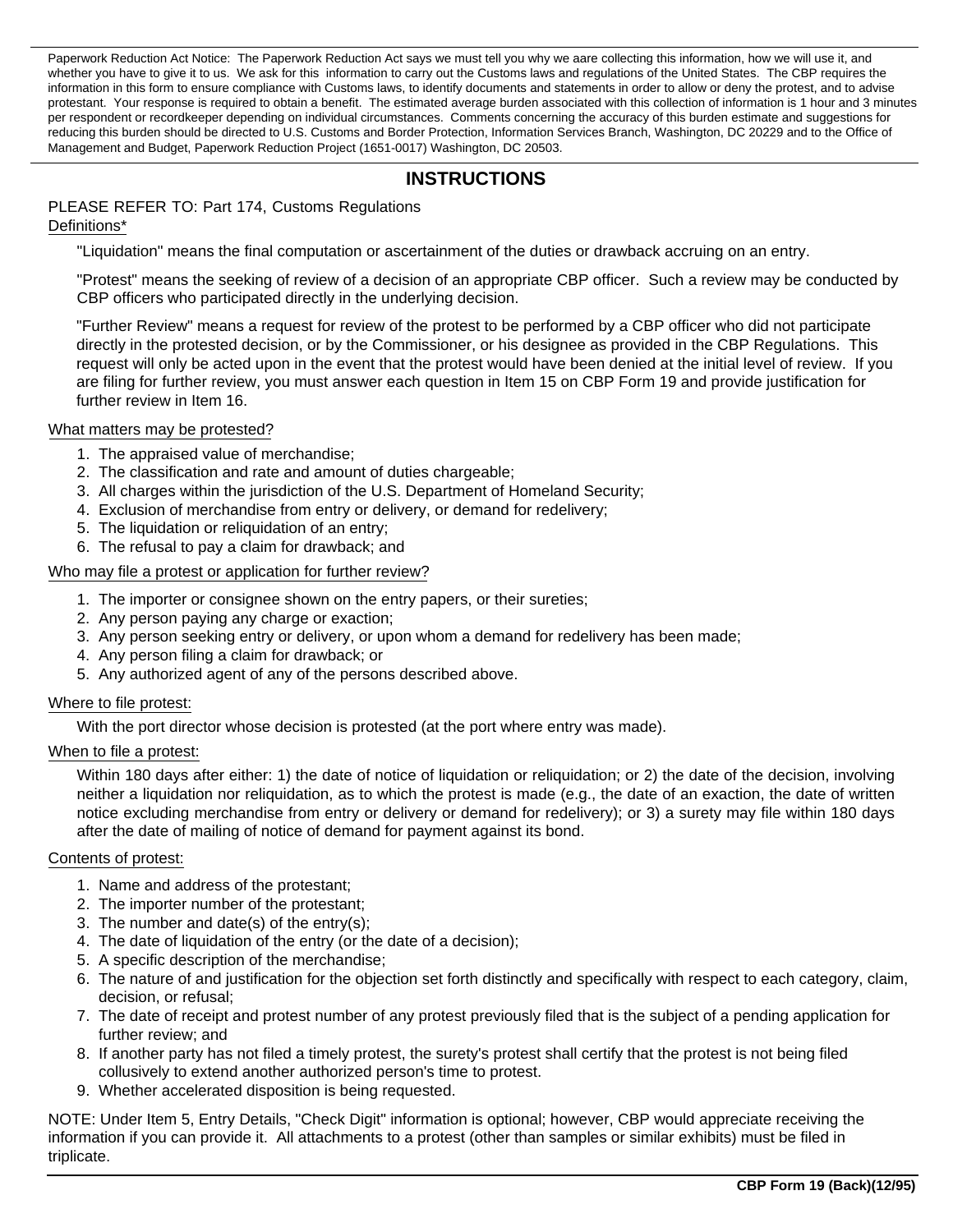Paperwork Reduction Act Notice: The Paperwork Reduction Act says we must tell you why we aare collecting this information, how we will use it, and whether you have to give it to us. We ask for this information to carry out the Customs laws and regulations of the United States. The CBP requires the information in this form to ensure compliance with Customs laws, to identify documents and statements in order to allow or deny the protest, and to advise protestant. Your response is required to obtain a benefit. The estimated average burden associated with this collection of information is 1 hour and 3 minutes per respondent or recordkeeper depending on individual circumstances. Comments concerning the accuracy of this burden estimate and suggestions for reducing this burden should be directed to U.S. Customs and Border Protection, Information Services Branch, Washington, DC 20229 and to the Office of Management and Budget, Paperwork Reduction Project (1651-0017) Washington, DC 20503.

# **INSTRUCTIONS**

# PLEASE REFER TO: Part 174, Customs Regulations

### Definitions\*

"Liquidation" means the final computation or ascertainment of the duties or drawback accruing on an entry.

"Protest" means the seeking of review of a decision of an appropriate CBP officer. Such a review may be conducted by CBP officers who participated directly in the underlying decision.

"Further Review" means a request for review of the protest to be performed by a CBP officer who did not participate directly in the protested decision, or by the Commissioner, or his designee as provided in the CBP Regulations. This request will only be acted upon in the event that the protest would have been denied at the initial level of review. If you are filing for further review, you must answer each question in Item 15 on CBP Form 19 and provide justification for further review in Item 16.

#### What matters may be protested?

- 1. The appraised value of merchandise;
- 2. The classification and rate and amount of duties chargeable;
- 3. All charges within the jurisdiction of the U.S. Department of Homeland Security;
- 4. Exclusion of merchandise from entry or delivery, or demand for redelivery;
- 5. The liquidation or reliquidation of an entry;
- 6. The refusal to pay a claim for drawback; and

#### Who may file a protest or application for further review?

- 1. The importer or consignee shown on the entry papers, or their sureties;
- 2. Any person paying any charge or exaction;
- 3. Any person seeking entry or delivery, or upon whom a demand for redelivery has been made;
- 4. Any person filing a claim for drawback; or
- 5. Any authorized agent of any of the persons described above.

#### Where to file protest:

With the port director whose decision is protested (at the port where entry was made).

#### When to file a protest:

Within 180 days after either: 1) the date of notice of liquidation or reliquidation; or 2) the date of the decision, involving neither a liquidation nor reliquidation, as to which the protest is made (e.g., the date of an exaction, the date of written notice excluding merchandise from entry or delivery or demand for redelivery); or 3) a surety may file within 180 days after the date of mailing of notice of demand for payment against its bond.

#### Contents of protest:

- 1. Name and address of the protestant;
- 2. The importer number of the protestant;
- 3. The number and date(s) of the entry(s);
- 4. The date of liquidation of the entry (or the date of a decision);
- 5. A specific description of the merchandise;
- 6. The nature of and justification for the objection set forth distinctly and specifically with respect to each category, claim, decision, or refusal;
- 7. The date of receipt and protest number of any protest previously filed that is the subject of a pending application for further review; and
- 8. If another party has not filed a timely protest, the surety's protest shall certify that the protest is not being filed collusively to extend another authorized person's time to protest.
- 9. Whether accelerated disposition is being requested.

NOTE: Under Item 5, Entry Details, "Check Digit" information is optional; however, CBP would appreciate receiving the information if you can provide it. All attachments to a protest (other than samples or similar exhibits) must be filed in triplicate.